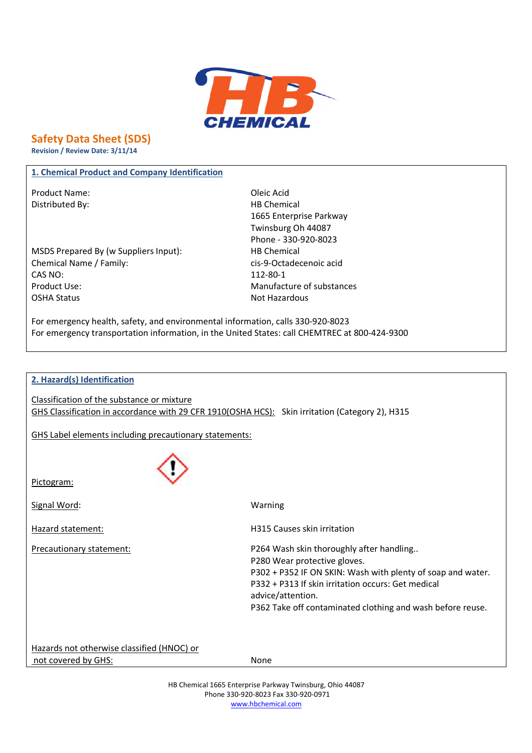

# **Safety Data Sheet (SDS)**

**Revision / Review Date: 3/11/14**

### **1. Chemical Product and Company Identification**

Product Name: Calculation of the Changes of the Changes of the Oleic Acid Distributed By: Notice and Separate Separate Separate Separate Separate Separate Separate Separate Separate Separate Separate Separate Separate Separate Separate Separate Separate Separate Separate Separate Separate Separa

MSDS Prepared By (w Suppliers Input): HB Chemical Chemical Name / Family: cis-9-Octadecenoic acid CAS NO: 112-80-1 Product Use: Natural Manufacture of substances OSHA Status Not Hazardous

1665 Enterprise Parkway Twinsburg Oh 44087 Phone - 330-920-8023

For emergency health, safety, and environmental information, calls 330-920-8023 For emergency transportation information, in the United States: call CHEMTREC at 800-424-9300

### **2. Hazard(s) Identification**

Classification of the substance or mixture GHS Classification in accordance with 29 CFR 1910(OSHA HCS): Skin irritation (Category 2), H315

GHS Label elements including precautionary statements:



Pictogram:

Signal Word: Warning

Hazard statement: H315 Causes skin irritation Precautionary statement: P264 Wash skin thoroughly after handling.. P280 Wear protective gloves. P302 + P352 IF ON SKIN: Wash with plenty of soap and water. P332 + P313 If skin irritation occurs: Get medical advice/attention. P362 Take off contaminated clothing and wash before reuse.

Hazards not otherwise classified (HNOC) or not covered by GHS: None

HB Chemical 1665 Enterprise Parkway Twinsburg, Ohio 44087 Phone 330-920-8023 Fax 330-920-0971 www.hbchemical.com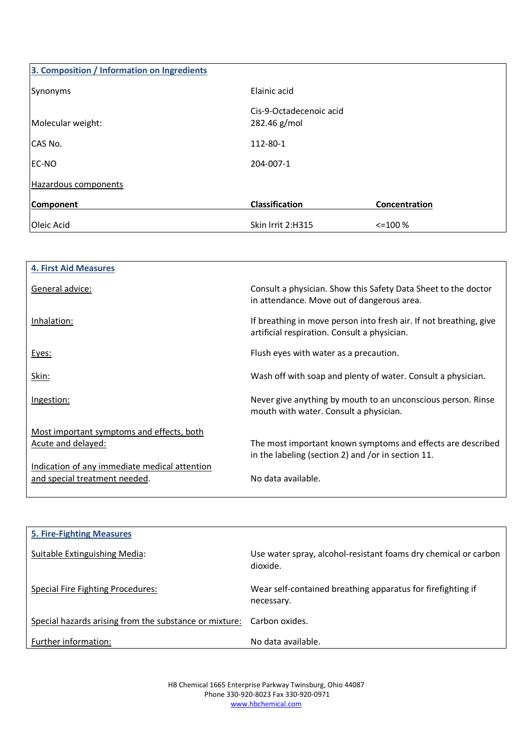| 3. Composition / Information on Ingredients |                                         |               |
|---------------------------------------------|-----------------------------------------|---------------|
| Synonyms                                    | Elainic acid                            |               |
| Molecular weight:                           | Cis-9-Octadecenoic acid<br>282.46 g/mol |               |
| CAS No.                                     | 112-80-1                                |               |
| EC-NO                                       | 204-007-1                               |               |
| Hazardous components                        |                                         |               |
| Component                                   | <b>Classification</b>                   | Concentration |
| Oleic Acid                                  | Skin Irrit 2:H315                       | $\leq$ 100 %  |

| <b>4. First Aid Measures</b>                  |                                                                                                                    |
|-----------------------------------------------|--------------------------------------------------------------------------------------------------------------------|
| General advice:                               | Consult a physician. Show this Safety Data Sheet to the doctor<br>in attendance. Move out of dangerous area.       |
| Inhalation:                                   | If breathing in move person into fresh air. If not breathing, give<br>artificial respiration. Consult a physician. |
| Eyes:                                         | Flush eyes with water as a precaution.                                                                             |
| Skin:                                         | Wash off with soap and plenty of water. Consult a physician.                                                       |
| Ingestion:                                    | Never give anything by mouth to an unconscious person. Rinse<br>mouth with water. Consult a physician.             |
| Most important symptoms and effects, both     |                                                                                                                    |
| Acute and delayed:                            | The most important known symptoms and effects are described<br>in the labeling (section 2) and /or in section 11.  |
| Indication of any immediate medical attention |                                                                                                                    |
| and special treatment needed.                 | No data available.                                                                                                 |

| <b>5. Fire-Fighting Measures</b>                                      |                                                                             |
|-----------------------------------------------------------------------|-----------------------------------------------------------------------------|
| Suitable Extinguishing Media:                                         | Use water spray, alcohol-resistant foams dry chemical or carbon<br>dioxide. |
| Special Fire Fighting Procedures:                                     | Wear self-contained breathing apparatus for firefighting if<br>necessary.   |
| Special hazards arising from the substance or mixture: Carbon oxides. |                                                                             |
| Further information:                                                  | No data available.                                                          |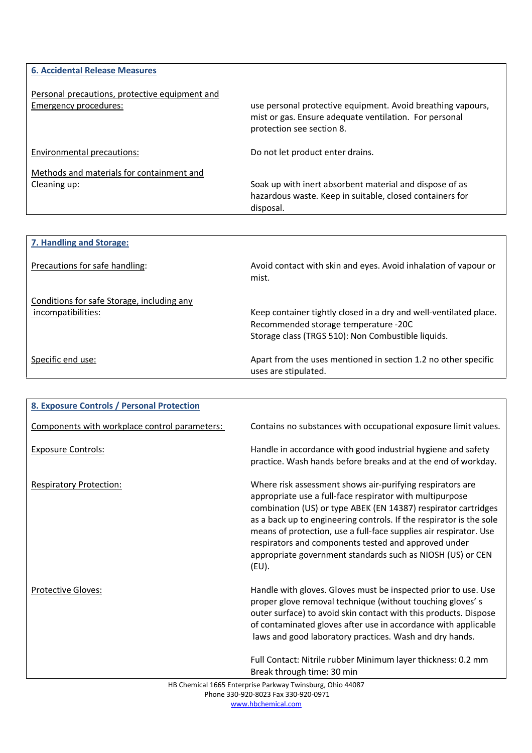| <b>6. Accidental Release Measures</b>                                   |                                                                                                                                                    |
|-------------------------------------------------------------------------|----------------------------------------------------------------------------------------------------------------------------------------------------|
| Personal precautions, protective equipment and<br>Emergency procedures: | use personal protective equipment. Avoid breathing vapours,<br>mist or gas. Ensure adequate ventilation. For personal<br>protection see section 8. |
| Environmental precautions:                                              | Do not let product enter drains.                                                                                                                   |
| Methods and materials for containment and<br>Cleaning up:               | Soak up with inert absorbent material and dispose of as<br>hazardous waste. Keep in suitable, closed containers for<br>disposal.                   |

| 7. Handling and Storage:                                         |                                                                                                                                                                 |
|------------------------------------------------------------------|-----------------------------------------------------------------------------------------------------------------------------------------------------------------|
| Precautions for safe handling:                                   | Avoid contact with skin and eyes. Avoid inhalation of vapour or<br>mist.                                                                                        |
| Conditions for safe Storage, including any<br>incompatibilities: | Keep container tightly closed in a dry and well-ventilated place.<br>Recommended storage temperature -20C<br>Storage class (TRGS 510): Non Combustible liquids. |
| Specific end use:                                                | Apart from the uses mentioned in section 1.2 no other specific<br>uses are stipulated.                                                                          |

| <b>8. Exposure Controls / Personal Protection</b> |                                                                                                                                                                                                                                                                                                                                                                                                                                                                    |
|---------------------------------------------------|--------------------------------------------------------------------------------------------------------------------------------------------------------------------------------------------------------------------------------------------------------------------------------------------------------------------------------------------------------------------------------------------------------------------------------------------------------------------|
| Components with workplace control parameters:     | Contains no substances with occupational exposure limit values.                                                                                                                                                                                                                                                                                                                                                                                                    |
| <b>Exposure Controls:</b>                         | Handle in accordance with good industrial hygiene and safety<br>practice. Wash hands before breaks and at the end of workday.                                                                                                                                                                                                                                                                                                                                      |
| <b>Respiratory Protection:</b>                    | Where risk assessment shows air-purifying respirators are<br>appropriate use a full-face respirator with multipurpose<br>combination (US) or type ABEK (EN 14387) respirator cartridges<br>as a back up to engineering controls. If the respirator is the sole<br>means of protection, use a full-face supplies air respirator. Use<br>respirators and components tested and approved under<br>appropriate government standards such as NIOSH (US) or CEN<br>(EU). |
| <b>Protective Gloves:</b>                         | Handle with gloves. Gloves must be inspected prior to use. Use<br>proper glove removal technique (without touching gloves's<br>outer surface) to avoid skin contact with this products. Dispose<br>of contaminated gloves after use in accordance with applicable<br>laws and good laboratory practices. Wash and dry hands.                                                                                                                                       |
|                                                   | Full Contact: Nitrile rubber Minimum layer thickness: 0.2 mm<br>Break through time: 30 min                                                                                                                                                                                                                                                                                                                                                                         |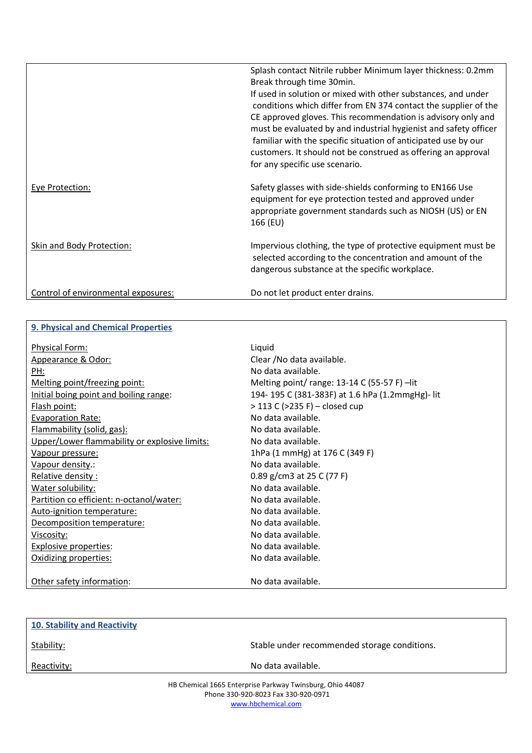|                                     | Splash contact Nitrile rubber Minimum layer thickness: 0.2mm<br>Break through time 30min.<br>If used in solution or mixed with other substances, and under<br>conditions which differ from EN 374 contact the supplier of the<br>CE approved gloves. This recommendation is advisory only and<br>must be evaluated by and industrial hygienist and safety officer<br>familiar with the specific situation of anticipated use by our<br>customers. It should not be construed as offering an approval<br>for any specific use scenario. |
|-------------------------------------|----------------------------------------------------------------------------------------------------------------------------------------------------------------------------------------------------------------------------------------------------------------------------------------------------------------------------------------------------------------------------------------------------------------------------------------------------------------------------------------------------------------------------------------|
| <b>Eye Protection:</b>              | Safety glasses with side-shields conforming to EN166 Use<br>equipment for eye protection tested and approved under<br>appropriate government standards such as NIOSH (US) or EN<br>166 (EU)                                                                                                                                                                                                                                                                                                                                            |
| <b>Skin and Body Protection:</b>    | Impervious clothing, the type of protective equipment must be<br>selected according to the concentration and amount of the<br>dangerous substance at the specific workplace.                                                                                                                                                                                                                                                                                                                                                           |
| Control of environmental exposures: | Do not let product enter drains.                                                                                                                                                                                                                                                                                                                                                                                                                                                                                                       |

## **9. Physical and Chemical Properties**

| <b>Physical Form:</b>                         | Liquid                                         |
|-----------------------------------------------|------------------------------------------------|
| Appearance & Odor:                            | Clear / No data available.                     |
| PH:                                           | No data available.                             |
| Melting point/freezing point:                 | Melting point/range: 13-14 C (55-57 F) -lit    |
| Initial boing point and boiling range:        | 194-195 C (381-383F) at 1.6 hPa (1.2mmgHg)-lit |
| Flash point:                                  | $>$ 113 C ( $>$ 235 F) – closed cup            |
| <b>Evaporation Rate:</b>                      | No data available.                             |
| Flammability (solid, gas):                    | No data available.                             |
| Upper/Lower flammability or explosive limits: | No data available.                             |
| <u>Vapour pressure:</u>                       | 1hPa (1 mmHg) at 176 C (349 F)                 |
| Vapour density.:                              | No data available.                             |
| Relative density:                             | 0.89 g/cm3 at 25 C (77 F)                      |
| Water solubility:                             | No data available.                             |
| Partition co efficient: n-octanol/water:      | No data available.                             |
| Auto-ignition temperature:                    | No data available.                             |
| Decomposition temperature:                    | No data available.                             |
| Viscosity:                                    | No data available.                             |
| <b>Explosive properties:</b>                  | No data available.                             |
| Oxidizing properties:                         | No data available.                             |
| Other safety information:                     | No data available.                             |

| <b>10. Stability and Reactivity</b>                                                              |                                              |
|--------------------------------------------------------------------------------------------------|----------------------------------------------|
| Stability:                                                                                       | Stable under recommended storage conditions. |
| Reactivity:                                                                                      | No data available.                           |
| HB Chemical 1665 Enterprise Parkway Twinsburg, Ohio 44087<br>Phone 330-920-8023 Fax 330-920-0971 |                                              |

www.hbchemical.com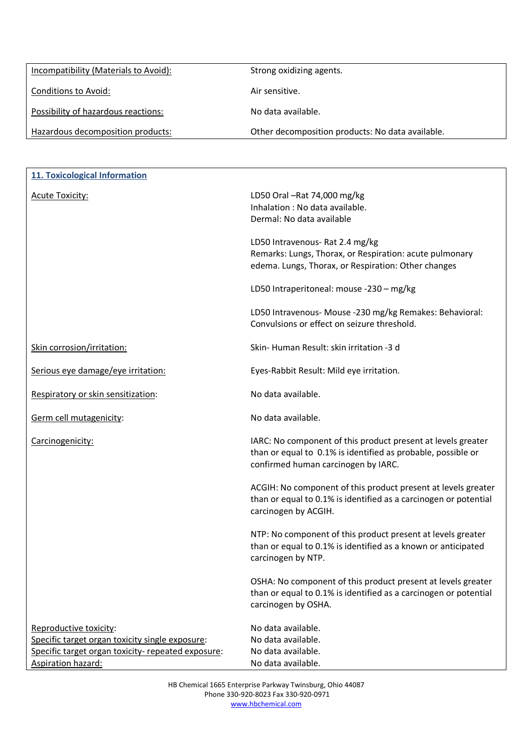| Incompatibility (Materials to Avoid): | Strong oxidizing agents.                         |
|---------------------------------------|--------------------------------------------------|
| Conditions to Avoid:                  | Air sensitive.                                   |
| Possibility of hazardous reactions:   | No data available.                               |
| Hazardous decomposition products:     | Other decomposition products: No data available. |

| <b>11. Toxicological Information</b>                                                                                                                  |                                                                                                                                                                     |
|-------------------------------------------------------------------------------------------------------------------------------------------------------|---------------------------------------------------------------------------------------------------------------------------------------------------------------------|
| <b>Acute Toxicity:</b>                                                                                                                                | LD50 Oral -Rat 74,000 mg/kg<br>Inhalation : No data available.<br>Dermal: No data available                                                                         |
|                                                                                                                                                       | LD50 Intravenous- Rat 2.4 mg/kg<br>Remarks: Lungs, Thorax, or Respiration: acute pulmonary<br>edema. Lungs, Thorax, or Respiration: Other changes                   |
|                                                                                                                                                       | LD50 Intraperitoneal: mouse -230 - mg/kg                                                                                                                            |
|                                                                                                                                                       | LD50 Intravenous- Mouse -230 mg/kg Remakes: Behavioral:<br>Convulsions or effect on seizure threshold.                                                              |
| Skin corrosion/irritation:                                                                                                                            | Skin-Human Result: skin irritation -3 d                                                                                                                             |
| Serious eye damage/eye irritation:                                                                                                                    | Eyes-Rabbit Result: Mild eye irritation.                                                                                                                            |
| Respiratory or skin sensitization:                                                                                                                    | No data available.                                                                                                                                                  |
| Germ cell mutagenicity:                                                                                                                               | No data available.                                                                                                                                                  |
| Carcinogenicity:                                                                                                                                      | IARC: No component of this product present at levels greater<br>than or equal to 0.1% is identified as probable, possible or<br>confirmed human carcinogen by IARC. |
|                                                                                                                                                       | ACGIH: No component of this product present at levels greater<br>than or equal to 0.1% is identified as a carcinogen or potential<br>carcinogen by ACGIH.           |
|                                                                                                                                                       | NTP: No component of this product present at levels greater<br>than or equal to 0.1% is identified as a known or anticipated<br>carcinogen by NTP.                  |
|                                                                                                                                                       | OSHA: No component of this product present at levels greater<br>than or equal to 0.1% is identified as a carcinogen or potential<br>carcinogen by OSHA.             |
| Reproductive toxicity:<br>Specific target organ toxicity single exposure:<br>Specific target organ toxicity- repeated exposure:<br>Aspiration hazard: | No data available.<br>No data available.<br>No data available.<br>No data available.                                                                                |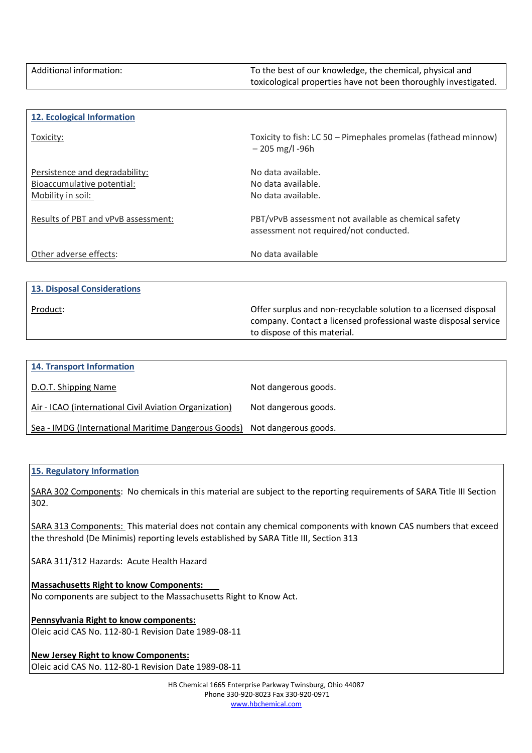| Additional information: | To the best of our knowledge, the chemical, physical and        |
|-------------------------|-----------------------------------------------------------------|
|                         | toxicological properties have not been thoroughly investigated. |

| 12. Ecological Information                                                        |                                                                                                |
|-----------------------------------------------------------------------------------|------------------------------------------------------------------------------------------------|
| Toxicity:                                                                         | Toxicity to fish: LC 50 – Pimephales promelas (fathead minnow)<br>$-205$ mg/l -96h             |
| Persistence and degradability:<br>Bioaccumulative potential:<br>Mobility in soil: | No data available.<br>No data available.<br>No data available.                                 |
| Results of PBT and vPvB assessment:                                               | PBT/vPvB assessment not available as chemical safety<br>assessment not required/not conducted. |
| Other adverse effects:                                                            | No data available                                                                              |

|  | <b>13. Disposal Considerations</b> |
|--|------------------------------------|
|  |                                    |

Product: Offer surplus and non-recyclable solution to a licensed disposal company. Contact a licensed professional waste disposal service to dispose of this material.

| <b>14. Transport Information</b>                       |                      |
|--------------------------------------------------------|----------------------|
| D.O.T. Shipping Name                                   | Not dangerous goods. |
| Air - ICAO (international Civil Aviation Organization) | Not dangerous goods. |
| Sea - IMDG (International Maritime Dangerous Goods)    | Not dangerous goods. |

#### **15. Regulatory Information**

SARA 302 Components: No chemicals in this material are subject to the reporting requirements of SARA Title III Section 302.

SARA 313 Components: This material does not contain any chemical components with known CAS numbers that exceed the threshold (De Minimis) reporting levels established by SARA Title III, Section 313

SARA 311/312 Hazards: Acute Health Hazard

**Massachusetts Right to know Components:** No components are subject to the Massachusetts Right to Know Act.

#### **Pennsylvania Right to know components:**

Oleic acid CAS No. 112-80-1 Revision Date 1989-08-11

**New Jersey Right to know Components:** Oleic acid CAS No. 112-80-1 Revision Date 1989-08-11

> HB Chemical 1665 Enterprise Parkway Twinsburg, Ohio 44087 Phone 330-920-8023 Fax 330-920-0971 www.hbchemical.com